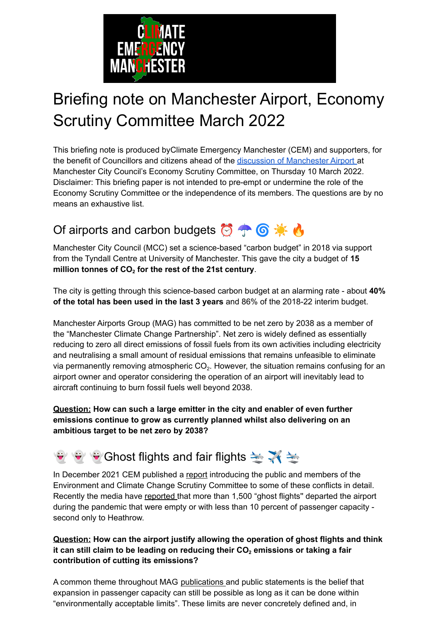

# Briefing note on Manchester Airport, Economy Scrutiny Committee March 2022

This briefing note is produced byClimate Emergency Manchester (CEM) and supporters, for the benefit of Councillors and citizens ahead of the discussion of [Manchester](https://democracy.manchester.gov.uk/documents/s32914/Manchester%20Airport.pdf) Airport at Manchester City Council's Economy Scrutiny Committee, on Thursday 10 March 2022. Disclaimer: This briefing paper is not intended to pre-empt or undermine the role of the Economy Scrutiny Committee or the independence of its members. The questions are by no means an exhaustive list.

### Of airports and carbon budgets **8** <sup>→</sup> **6**  $\bullet$  **A**

Manchester City Council (MCC) set a science-based "carbon budget" in 2018 via support from the Tyndall Centre at University of Manchester. This gave the city a budget of **15 million tonnes of CO<sup>2</sup> for the rest of the 21st century**.

The city is getting through this science-based carbon budget at an alarming rate - about **40% of the total has been used in the last 3 years** and 86% of the 2018-22 interim budget.

Manchester Airports Group (MAG) has committed to be net zero by 2038 as a member of the "Manchester Climate Change Partnership". Net zero is widely defined as essentially reducing to zero all direct emissions of fossil fuels from its own activities including electricity and neutralising a small amount of residual emissions that remains unfeasible to eliminate via permanently removing atmospheric  $CO<sub>2</sub>$ . However, the situation remains confusing for an airport owner and operator considering the operation of an airport will inevitably lead to aircraft continuing to burn fossil fuels well beyond 2038.

#### **Question: How can such a large emitter in the city and enabler of even further emissions continue to grow as currently planned whilst also delivering on an ambitious target to be net zero by 2038?**

## $\bullet$   $\bullet$  Ghost flights and fair flights  $\rightarrow \mathbb{X} \rightarrow$

In December 2021 CEM published a [report](https://climateemergencymanchester.net/wp-content/uploads/2021/12/2021.12.01-Airport-versus-carbon-budget-final.pdf) introducing the public and members of the Environment and Climate Change Scrutiny Committee to some of these conflicts in detail. Recently the media have [reported](https://www.manchestereveningnews.co.uk/news/greater-manchester-news/manchester-airport-ghost-flights-emissions-23184081) that more than 1,500 "ghost flights" departed the airport during the pandemic that were empty or with less than 10 percent of passenger capacity second only to Heathrow.

#### **Question: How can the airport justify allowing the operation of ghost flights and think it can still claim to be leading on reducing their CO<sup>2</sup> emissions or taking a fair contribution of cutting its emissions?**

A common theme throughout MAG [publications](https://live-webadmin-media.s3.amazonaws.com/media/3970/man_sdp_economy-and-surface-access_online-2016-final-190716.pdf) and public statements is the belief that expansion in passenger capacity can still be possible as long as it can be done within "environmentally acceptable limits". These limits are never concretely defined and, in